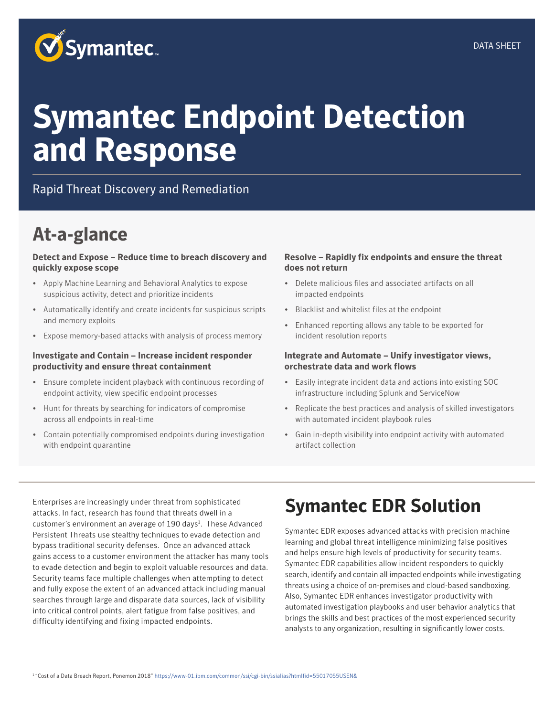

# **Symantec Endpoint Detection and Response**

#### Rapid Threat Discovery and Remediation

### **At-a-glance**

#### **Detect and Expose – Reduce time to breach discovery and quickly expose scope**

- Apply Machine Learning and Behavioral Analytics to expose suspicious activity, detect and prioritize incidents
- Automatically identify and create incidents for suspicious scripts and memory exploits
- Expose memory-based attacks with analysis of process memory

#### **Investigate and Contain – Increase incident responder productivity and ensure threat containment**

- Ensure complete incident playback with continuous recording of endpoint activity, view specific endpoint processes
- Hunt for threats by searching for indicators of compromise across all endpoints in real-time
- Contain potentially compromised endpoints during investigation with endpoint quarantine

#### **Resolve – Rapidly fix endpoints and ensure the threat does not return**

- Delete malicious files and associated artifacts on all impacted endpoints
- Blacklist and whitelist files at the endpoint
- Enhanced reporting allows any table to be exported for incident resolution reports

#### **Integrate and Automate – Unify investigator views, orchestrate data and work flows**

- Easily integrate incident data and actions into existing SOC infrastructure including Splunk and ServiceNow
- Replicate the best practices and analysis of skilled investigators with automated incident playbook rules
- Gain in-depth visibility into endpoint activity with automated artifact collection

Enterprises are increasingly under threat from sophisticated attacks. In fact, research has found that threats dwell in a customer's environment an average of 190 days<sup>1</sup>. These Advanced Persistent Threats use stealthy techniques to evade detection and bypass traditional security defenses. Once an advanced attack gains access to a customer environment the attacker has many tools to evade detection and begin to exploit valuable resources and data. Security teams face multiple challenges when attempting to detect and fully expose the extent of an advanced attack including manual searches through large and disparate data sources, lack of visibility into critical control points, alert fatigue from false positives, and difficulty identifying and fixing impacted endpoints.

### **Symantec EDR Solution**

Symantec EDR exposes advanced attacks with precision machine learning and global threat intelligence minimizing false positives and helps ensure high levels of productivity for security teams. Symantec EDR capabilities allow incident responders to quickly search, identify and contain all impacted endpoints while investigating threats using a choice of on-premises and cloud-based sandboxing. Also, Symantec EDR enhances investigator productivity with automated investigation playbooks and user behavior analytics that brings the skills and best practices of the most experienced security analysts to any organization, resulting in significantly lower costs.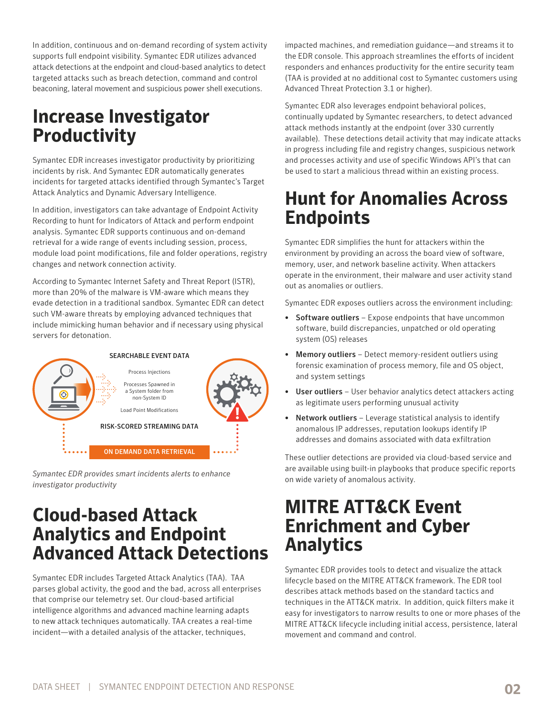In addition, continuous and on-demand recording of system activity supports full endpoint visibility. Symantec EDR utilizes advanced attack detections at the endpoint and cloud-based analytics to detect targeted attacks such as breach detection, command and control beaconing, lateral movement and suspicious power shell executions.

### **Increase Investigator Productivity**

Symantec EDR increases investigator productivity by prioritizing incidents by risk. And Symantec EDR automatically generates incidents for targeted attacks identified through Symantec's Target Attack Analytics and Dynamic Adversary Intelligence.

In addition, investigators can take advantage of Endpoint Activity Recording to hunt for Indicators of Attack and perform endpoint analysis. Symantec EDR supports continuous and on-demand retrieval for a wide range of events including session, process, module load point modifications, file and folder operations, registry changes and network connection activity.

According to Symantec Internet Safety and Threat Report (ISTR), more than 20% of the malware is VM-aware which means they evade detection in a traditional sandbox. Symantec EDR can detect such VM-aware threats by employing advanced techniques that include mimicking human behavior and if necessary using physical servers for detonation.



*Symantec EDR provides smart incidents alerts to enhance investigator productivity*

#### **Cloud-based Attack Analytics and Endpoint Advanced Attack Detections**

Symantec EDR includes Targeted Attack Analytics (TAA). TAA parses global activity, the good and the bad, across all enterprises that comprise our telemetry set. Our cloud-based artificial intelligence algorithms and advanced machine learning adapts to new attack techniques automatically. TAA creates a real-time incident—with a detailed analysis of the attacker, techniques,

impacted machines, and remediation guidance—and streams it to the EDR console. This approach streamlines the efforts of incident responders and enhances productivity for the entire security team (TAA is provided at no additional cost to Symantec customers using Advanced Threat Protection 3.1 or higher).

Symantec EDR also leverages endpoint behavioral polices, continually updated by Symantec researchers, to detect advanced attack methods instantly at the endpoint (over 330 currently available). These detections detail activity that may indicate attacks in progress including file and registry changes, suspicious network and processes activity and use of specific Windows API's that can be used to start a malicious thread within an existing process.

### **Hunt for Anomalies Across Endpoints**

Symantec EDR simplifies the hunt for attackers within the environment by providing an across the board view of software, memory, user, and network baseline activity. When attackers operate in the environment, their malware and user activity stand out as anomalies or outliers.

Symantec EDR exposes outliers across the environment including:

- Software outliers Expose endpoints that have uncommon software, build discrepancies, unpatched or old operating system (OS) releases
- Memory outliers Detect memory-resident outliers using forensic examination of process memory, file and OS object, and system settings
- User outliers User behavior analytics detect attackers acting as legitimate users performing unusual activity
- Network outliers Leverage statistical analysis to identify anomalous IP addresses, reputation lookups identify IP addresses and domains associated with data exfiltration

These outlier detections are provided via cloud-based service and are available using built-in playbooks that produce specific reports on wide variety of anomalous activity.

#### **MITRE ATT&CK Event Enrichment and Cyber Analytics**

Symantec EDR provides tools to detect and visualize the attack lifecycle based on the MITRE ATT&CK framework. The EDR tool describes attack methods based on the standard tactics and techniques in the ATT&CK matrix. In addition, quick filters make it easy for investigators to narrow results to one or more phases of the MITRE ATT&CK lifecycle including initial access, persistence, lateral movement and command and control.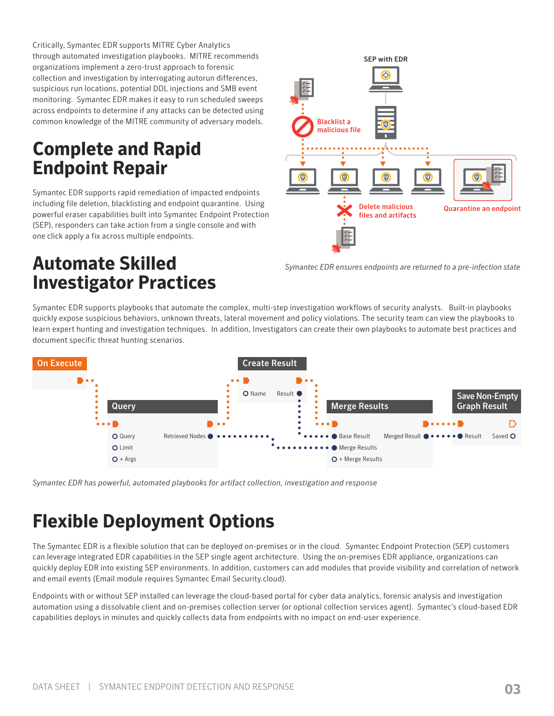Critically, Symantec EDR supports MITRE Cyber Analytics through automated investigation playbooks. MITRE recommends organizations implement a zero-trust approach to forensic collection and investigation by interrogating autorun differences, suspicious run locations, potential DDL injections and SMB event monitoring. Symantec EDR makes it easy to run scheduled sweeps across endpoints to determine if any attacks can be detected using common knowledge of the MITRE community of adversary models.

#### **Complete and Rapid Endpoint Repair**

Symantec EDR supports rapid remediation of impacted endpoints including file deletion, blacklisting and endpoint quarantine. Using powerful eraser capabilities built into Symantec Endpoint Protection (SEP), responders can take action from a single console and with one click apply a fix across multiple endpoints.

#### **Automate Skilled Investigator Practices**



*Symantec EDR ensures endpoints are returned to a pre-infection state*

Symantec EDR supports playbooks that automate the complex, multi-step investigation workflows of security analysts. Built-in playbooks quickly expose suspicious behaviors, unknown threats, lateral movement and policy violations. The security team can view the playbooks to learn expert hunting and investigation techniques. In addition, Investigators can create their own playbooks to automate best practices and document specific threat hunting scenarios.



*Symantec EDR has powerful, automated playbooks for artifact collection, investigation and response*

### **Flexible Deployment Options**

The Symantec EDR is a flexible solution that can be deployed on-premises or in the cloud. Symantec Endpoint Protection (SEP) customers can leverage integrated EDR capabilities in the SEP single agent architecture. Using the on-premises EDR appliance, organizations can quickly deploy EDR into existing SEP environments. In addition, customers can add modules that provide visibility and correlation of network and email events (Email module requires Symantec Email Security.cloud).

Endpoints with or without SEP installed can leverage the cloud-based portal for cyber data analytics, forensic analysis and investigation automation using a dissolvable client and on-premises collection server (or optional collection services agent). Symantec's cloud-based EDR capabilities deploys in minutes and quickly collects data from endpoints with no impact on end-user experience.